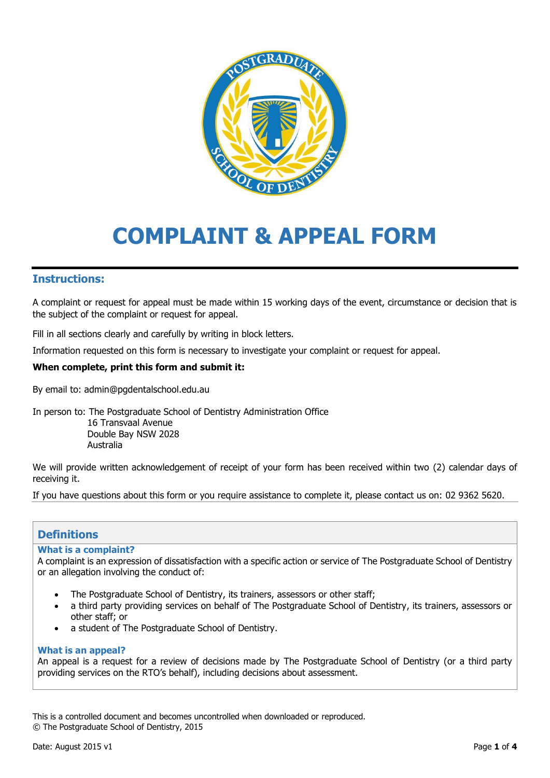

# **COMPLAINT & APPEAL FORM**

## **Instructions:**

A complaint or request for appeal must be made within 15 working days of the event, circumstance or decision that is the subject of the complaint or request for appeal.

Fill in all sections clearly and carefully by writing in block letters.

Information requested on this form is necessary to investigate your complaint or request for appeal.

### **When complete, print this form and submit it:**

By email to: admin@pgdentalschool.edu.au

In person to: The Postgraduate School of Dentistry Administration Office 16 Transvaal Avenue Double Bay NSW 2028

Australia

We will provide written acknowledgement of receipt of your form has been received within two (2) calendar days of receiving it.

If you have questions about this form or you require assistance to complete it, please contact us on: 02 9362 5620.

## **Definitions**

#### **What is a complaint?**

A complaint is an expression of dissatisfaction with a specific action or service of The Postgraduate School of Dentistry or an allegation involving the conduct of:

- The Postgraduate School of Dentistry, its trainers, assessors or other staff;
- a third party providing services on behalf of The Postgraduate School of Dentistry, its trainers, assessors or other staff; or
- a student of The Postgraduate School of Dentistry.

#### **What is an appeal?**

An appeal is a request for a review of decisions made by The Postgraduate School of Dentistry (or a third party providing services on the RTO's behalf), including decisions about assessment.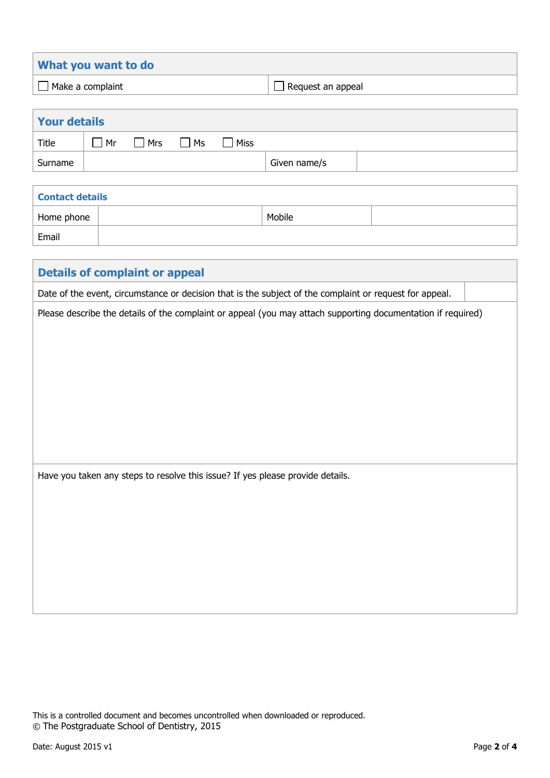| What you want to do     |                          |
|-------------------------|--------------------------|
| $\Box$ Make a complaint | $\Box$ Request an appeal |

| <b>Your details</b> |    |            |           |      |              |  |  |
|---------------------|----|------------|-----------|------|--------------|--|--|
| <b>Title</b>        | Mr | $\Box$ Mrs | $\Box$ Ms | Miss |              |  |  |
| Surname             |    |            |           |      | Given name/s |  |  |
|                     |    |            |           |      |              |  |  |

| <b>Contact details</b> |  |        |  |  |
|------------------------|--|--------|--|--|
| Home phone             |  | Mobile |  |  |
| Email                  |  |        |  |  |

| <b>Details of complaint or appeal</b>                                                                        |  |  |  |  |
|--------------------------------------------------------------------------------------------------------------|--|--|--|--|
| Date of the event, circumstance or decision that is the subject of the complaint or request for appeal.      |  |  |  |  |
| Please describe the details of the complaint or appeal (you may attach supporting documentation if required) |  |  |  |  |
|                                                                                                              |  |  |  |  |
|                                                                                                              |  |  |  |  |
|                                                                                                              |  |  |  |  |
|                                                                                                              |  |  |  |  |
|                                                                                                              |  |  |  |  |
|                                                                                                              |  |  |  |  |
|                                                                                                              |  |  |  |  |
| Have you taken any steps to resolve this issue? If yes please provide details.                               |  |  |  |  |
|                                                                                                              |  |  |  |  |
|                                                                                                              |  |  |  |  |
|                                                                                                              |  |  |  |  |
|                                                                                                              |  |  |  |  |
|                                                                                                              |  |  |  |  |
|                                                                                                              |  |  |  |  |
|                                                                                                              |  |  |  |  |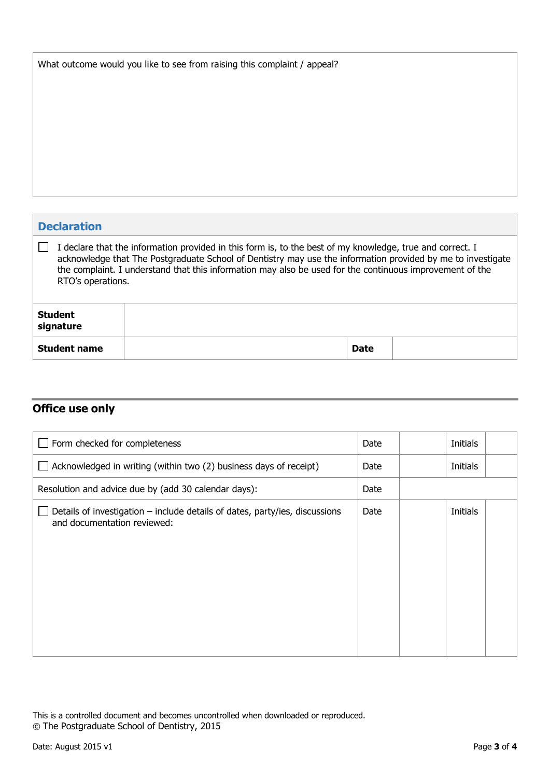| What outcome would you like to see from raising this complaint / appeal? |  |  |  |  |
|--------------------------------------------------------------------------|--|--|--|--|
|--------------------------------------------------------------------------|--|--|--|--|

| <b>Declaration</b>                                                                                                                                                                                                                                                                                                                                        |             |  |  |  |
|-----------------------------------------------------------------------------------------------------------------------------------------------------------------------------------------------------------------------------------------------------------------------------------------------------------------------------------------------------------|-------------|--|--|--|
| I declare that the information provided in this form is, to the best of my knowledge, true and correct. I<br>acknowledge that The Postgraduate School of Dentistry may use the information provided by me to investigate<br>the complaint. I understand that this information may also be used for the continuous improvement of the<br>RTO's operations. |             |  |  |  |
| <b>Student</b><br>signature                                                                                                                                                                                                                                                                                                                               |             |  |  |  |
| <b>Student name</b>                                                                                                                                                                                                                                                                                                                                       | <b>Date</b> |  |  |  |

## **Office use only**

| Form checked for completeness                                                                              | Date | Initials |  |
|------------------------------------------------------------------------------------------------------------|------|----------|--|
| Acknowledged in writing (within two (2) business days of receipt)                                          | Date | Initials |  |
| Resolution and advice due by (add 30 calendar days):                                                       | Date |          |  |
| Details of investigation – include details of dates, party/ies, discussions<br>and documentation reviewed: | Date | Initials |  |